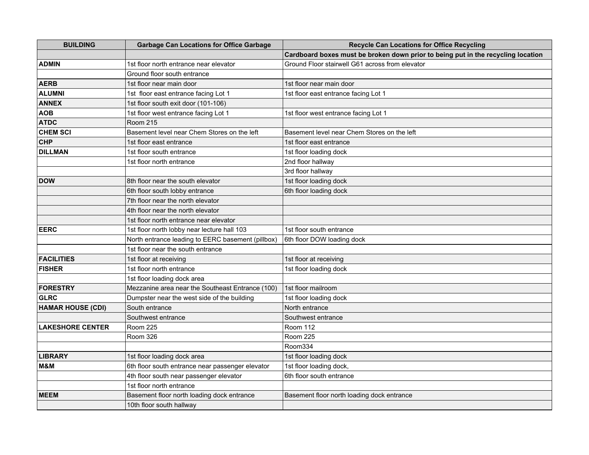| <b>BUILDING</b>          | <b>Garbage Can Locations for Office Garbage</b>   | <b>Recycle Can Locations for Office Recycling</b>                                |
|--------------------------|---------------------------------------------------|----------------------------------------------------------------------------------|
|                          |                                                   | Cardboard boxes must be broken down prior to being put in the recycling location |
| <b>ADMIN</b>             | 1st floor north entrance near elevator            | Ground Floor stairwell G61 across from elevator                                  |
|                          | Ground floor south entrance                       |                                                                                  |
| <b>AERB</b>              | 1st floor near main door                          | 1st floor near main door                                                         |
| <b>ALUMNI</b>            | 1st floor east entrance facing Lot 1              | 1st floor east entrance facing Lot 1                                             |
| <b>ANNEX</b>             | 1st floor south exit door (101-106)               |                                                                                  |
| <b>AOB</b>               | 1st floor west entrance facing Lot 1              | 1st floor west entrance facing Lot 1                                             |
| <b>ATDC</b>              | <b>Room 215</b>                                   |                                                                                  |
| <b>CHEM SCI</b>          | Basement level near Chem Stores on the left       | Basement level near Chem Stores on the left                                      |
| <b>CHP</b>               | 1st floor east entrance                           | 1st floor east entrance                                                          |
| <b>DILLMAN</b>           | 1st floor south entrance                          | 1st floor loading dock                                                           |
|                          | 1st floor north entrance                          | 2nd floor hallway                                                                |
|                          |                                                   | 3rd floor hallway                                                                |
| <b>DOW</b>               | 8th floor near the south elevator                 | 1st floor loading dock                                                           |
|                          | 6th floor south lobby entrance                    | 6th floor loading dock                                                           |
|                          | 7th floor near the north elevator                 |                                                                                  |
|                          | 4th floor near the north elevator                 |                                                                                  |
|                          | 1st floor north entrance near elevator            |                                                                                  |
| <b>EERC</b>              | 1st floor north lobby near lecture hall 103       | 1st floor south entrance                                                         |
|                          | North entrance leading to EERC basement (pillbox) | 6th floor DOW loading dock                                                       |
|                          | 1st floor near the south entrance                 |                                                                                  |
| <b>FACILITIES</b>        | 1st floor at receiving                            | 1st floor at receiving                                                           |
| <b>FISHER</b>            | 1st floor north entrance                          | 1st floor loading dock                                                           |
|                          | 1st floor loading dock area                       |                                                                                  |
| FORESTRY                 | Mezzanine area near the Southeast Entrance (100)  | 1st floor mailroom                                                               |
| GLRC                     | Dumpster near the west side of the building       | 1st floor loading dock                                                           |
| <b>HAMAR HOUSE (CDI)</b> | South entrance                                    | North entrance                                                                   |
|                          | Southwest entrance                                | Southwest entrance                                                               |
| <b>LAKESHORE CENTER</b>  | <b>Room 225</b>                                   | <b>Room 112</b>                                                                  |
|                          | Room 326                                          | <b>Room 225</b>                                                                  |
|                          |                                                   | Room334                                                                          |
| <b>LIBRARY</b>           | 1st floor loading dock area                       | 1st floor loading dock                                                           |
| M&M                      | 6th floor south entrance near passenger elevator  | 1st floor loading dock,                                                          |
|                          | 4th floor south near passenger elevator           | 6th floor south entrance                                                         |
|                          | 1st floor north entrance                          |                                                                                  |
| <b>MEEM</b>              | Basement floor north loading dock entrance        | Basement floor north loading dock entrance                                       |
|                          | 10th floor south hallway                          |                                                                                  |